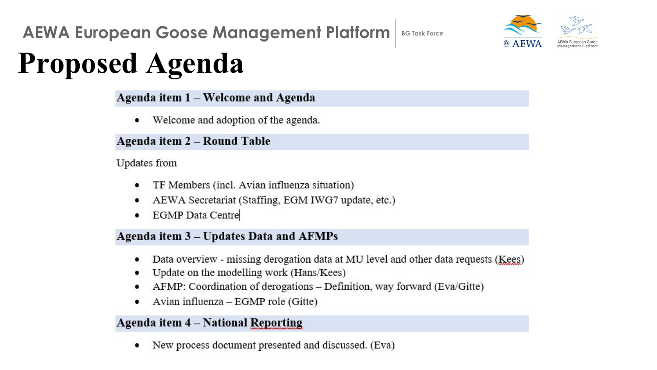

# **Proposed Agenda**

### Agenda item 1 - Welcome and Agenda

Welcome and adoption of the agenda. ٠

#### Agenda item 2 - Round Table

#### Updates from

- TF Members (incl. Avian influenza situation) ٠
- AEWA Secretariat (Staffing, EGM IWG7 update, etc.) ٠
- **EGMP** Data Centre ٠

#### Agenda item 3 - Updates Data and AFMPs

- Data overview missing derogation data at MU level and other data requests (Kees) ٠
- Update on the modelling work (Hans/Kees) ٠
- AFMP: Coordination of derogations Definition, way forward (Eva/Gitte) ٠
- Avian influenza EGMP role (Gitte)

### Agenda item 4 - National Reporting

New process document presented and discussed. (Eva) ٠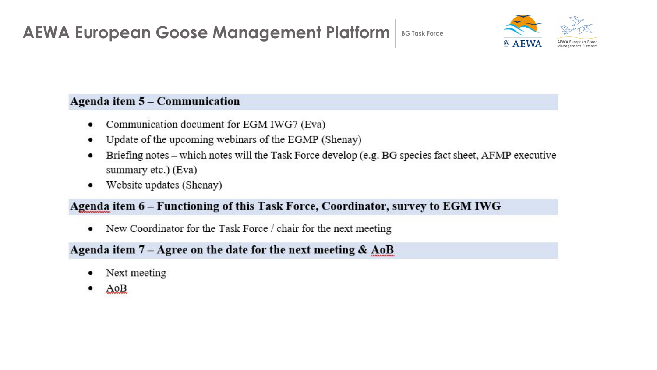

### Agenda item 5 - Communication

- Communication document for EGM IWG7 (Eva)
- Update of the upcoming webinars of the EGMP (Shenay)
- Briefing notes which notes will the Task Force develop (e.g. BG species fact sheet, AFMP executive summary etc.) (Eva)
- Website updates (Shenay)

### Agenda item 6 – Functioning of this Task Force, Coordinator, survey to EGM IWG

New Coordinator for the Task Force / chair for the next meeting ٠

### Agenda item  $7 - \text{Agree}$  on the date for the next meeting &  $\text{AoB}$

- Next meeting
- AoB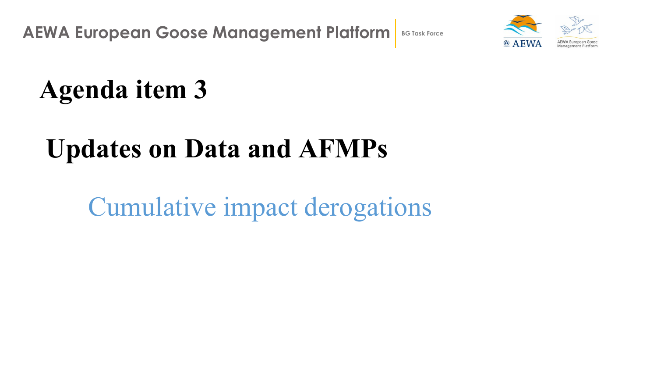

# **Agenda item 3**

## **Updates on Data and AFMPs**

Cumulative impact derogations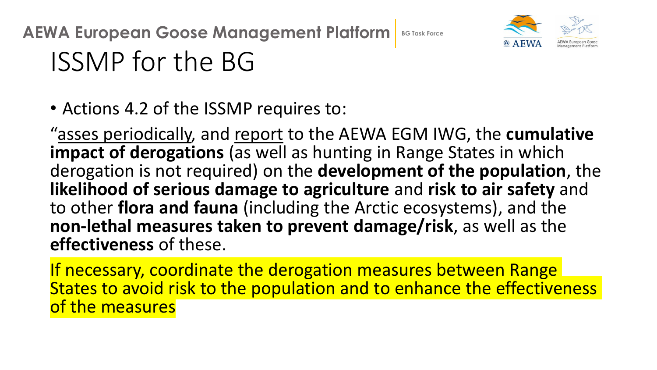

# ISSMP for the BG

• Actions 4.2 of the ISSMP requires to:

"asses periodically, and report to the AEWA EGM IWG, the **cumulative impact of derogations** (as well as hunting in Range States in which derogation is not required) on the **development of the population**, the **likelihood of serious damage to agriculture** and **risk to air safety** and to other **flora and fauna** (including the Arctic ecosystems), and the **non-lethal measures taken to prevent damage/risk**, as well as the **effectiveness** of these.

If necessary, coordinate the derogation measures between Range States to avoid risk to the population and to enhance the effectiveness of the measures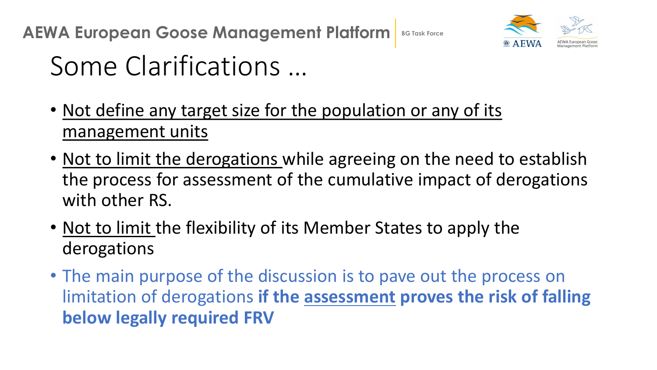

## Some Clarifications …

- Not define any target size for the population or any of its management units
- Not to limit the derogations while agreeing on the need to establish the process for assessment of the cumulative impact of derogations with other RS.
- Not to limit the flexibility of its Member States to apply the derogations
- The main purpose of the discussion is to pave out the process on limitation of derogations **if the assessment proves the risk of falling below legally required FRV**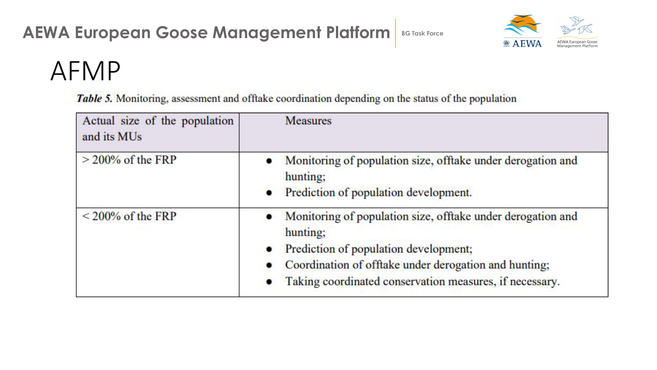

## AFMP

Table 5. Monitoring, assessment and offtake coordination depending on the status of the population

| Actual size of the population<br>and its MUs | <b>Measures</b>                                                                                                                                                                                                                      |
|----------------------------------------------|--------------------------------------------------------------------------------------------------------------------------------------------------------------------------------------------------------------------------------------|
| $>$ 200% of the FRP                          | Monitoring of population size, offtake under derogation and<br>hunting;<br>Prediction of population development.<br>$\bullet$                                                                                                        |
| $\leq$ 200% of the FRP                       | Monitoring of population size, offtake under derogation and<br>hunting;<br>Prediction of population development;<br>Coordination of offtake under derogation and hunting;<br>Taking coordinated conservation measures, if necessary. |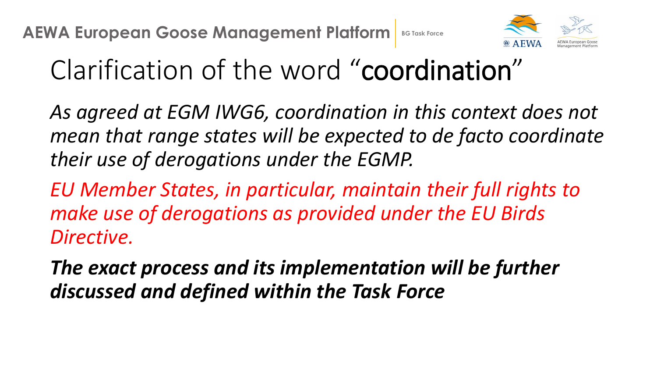

# Clarification of the word "coordination"

*As agreed at EGM IWG6, coordination in this context does not mean that range states will be expected to de facto coordinate their use of derogations under the EGMP.* 

*EU Member States, in particular, maintain their full rights to make use of derogations as provided under the EU Birds Directive.* 

*The exact process and its implementation will be further discussed and defined within the Task Force*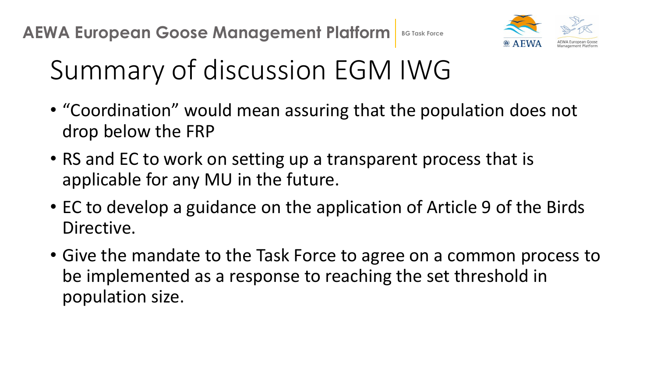

# Summary of discussion EGM IWG

- "Coordination" would mean assuring that the population does not drop below the FRP
- RS and EC to work on setting up a transparent process that is applicable for any MU in the future.
- EC to develop a guidance on the application of Article 9 of the Birds Directive.
- Give the mandate to the Task Force to agree on a common process to be implemented as a response to reaching the set threshold in population size.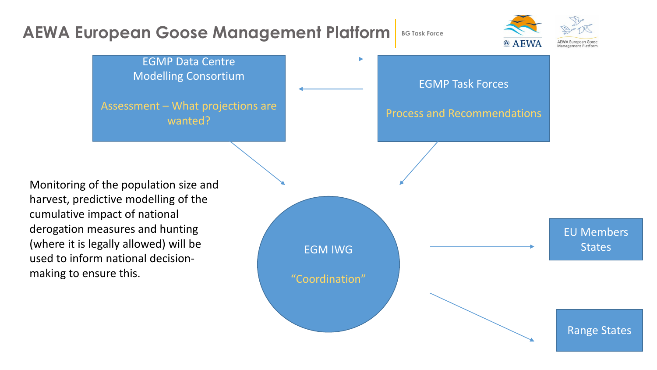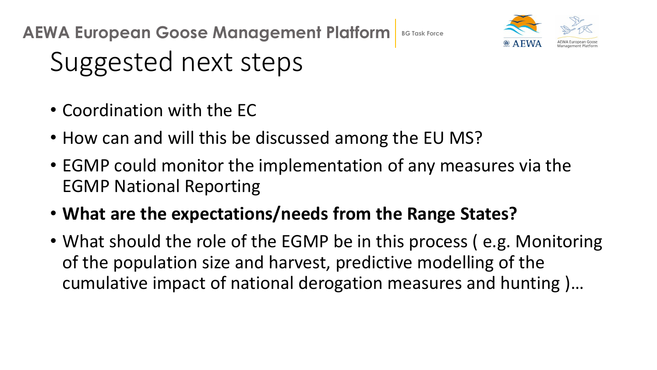

# Suggested next steps

- Coordination with the EC
- How can and will this be discussed among the EU MS?
- EGMP could monitor the implementation of any measures via the EGMP National Reporting
- **What are the expectations/needs from the Range States?**
- What should the role of the EGMP be in this process (e.g. Monitoring of the population size and harvest, predictive modelling of the cumulative impact of national derogation measures and hunting )…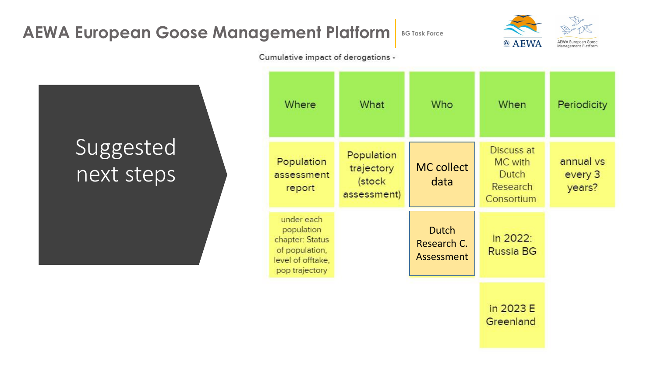

Cumulative impact of derogations -

### Suggested next steps

| Where                                                                                                | What                                              | Who                                       | When                                                     | Periodicity                    |
|------------------------------------------------------------------------------------------------------|---------------------------------------------------|-------------------------------------------|----------------------------------------------------------|--------------------------------|
| Population<br>assessment<br>report                                                                   | Population<br>trajectory<br>(stock<br>assessment) | <b>MC</b> collect<br>data                 | Discuss at<br>MC with<br>Dutch<br>Research<br>Consortium | annual vs<br>every 3<br>years? |
| under each<br>population<br>chapter: Status<br>of population,<br>level of offtake,<br>pop trajectory |                                                   | <b>Dutch</b><br>Research C.<br>Assessment | in 2022:<br><b>Russia BG</b>                             |                                |
|                                                                                                      |                                                   |                                           | in 2023 E<br>Greenland                                   |                                |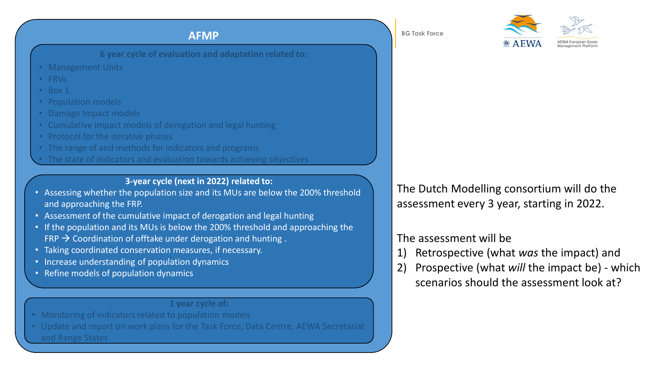**6 year cycle of evaluation and adaptation related to:**

- Management Units
- FRVs
- Box 1
- Population models
- Damage Impact models
- Cumulative impact models of derogation and legal hunting
- Protocol for the iterative phases
- The range of and methods for indicators and programs
- The state of indicators and evaluation towards achieving objectives

#### **3-year cycle (next in 2022) related to:**

- Assessing whether the population size and its MUs are below the 200% threshold and approaching the FRP.
- Assessment of the cumulative impact of derogation and legal hunting
- If the population and its MUs is below the 200% threshold and approaching the  $FRP \rightarrow$  Coordination of offtake under derogation and hunting.
- Taking coordinated conservation measures, if necessary.
- Increase understanding of population dynamics
- Refine models of population dynamics

#### **1 year cycle of:**

- Monitoring of indicators related to population models
- Update and report on work plans for the Task Force, Data Centre, AEWA Secretariat and Range States



The Dutch Modelling consortium will do the assessment every 3 year, starting in 2022.

### The assessment will be

- 1) Retrospective (what *was* the impact) and
- 2) Prospective (what *will* the impact be) which scenarios should the assessment look at?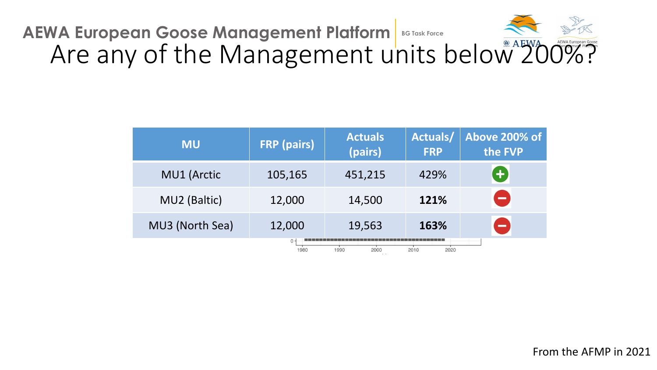### **AEWA European Goose Management Platform** BG Task Force Are any of the Management units below 200%?

| <b>MU</b>                                     | <b>FRP</b> (pairs) | <b>Actuals</b><br>(pairs) | Actuals/<br><b>FRP</b> | Above 200% of<br>the FVP |  |  |
|-----------------------------------------------|--------------------|---------------------------|------------------------|--------------------------|--|--|
| <b>MU1 (Arctic</b>                            | 105,165            | 451,215                   | 429%                   | 8                        |  |  |
| MU2 (Baltic)                                  | 12,000             | 14,500                    | 121%                   | $\blacksquare$           |  |  |
| MU3 (North Sea)                               | 12,000             | 19,563                    | 163%                   | $\blacksquare$           |  |  |
| $0 -$<br>2000<br>2010<br>2020<br>1990<br>1980 |                    |                           |                        |                          |  |  |

From the AFMP in 2021